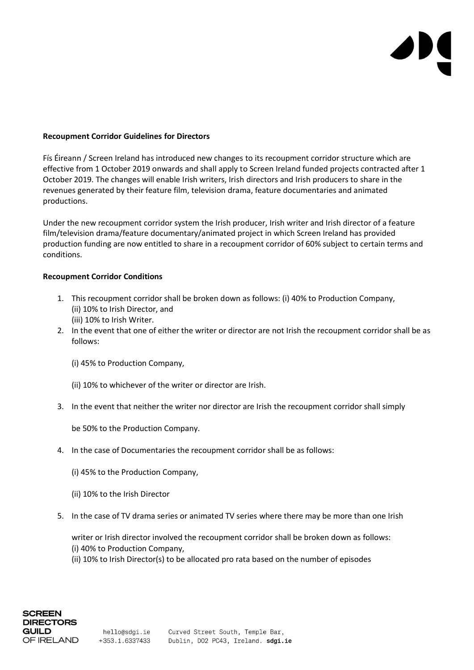## **Recoupment Corridor Guidelines for Directors**

Fís Éireann / Screen Ireland has introduced new changes to its recoupment corridor structure which are effective from 1 October 2019 onwards and shall apply to Screen Ireland funded projects contracted after 1 October 2019. The changes will enable Irish writers, Irish directors and Irish producers to share in the revenues generated by their feature film, television drama, feature documentaries and animated productions.

Under the new recoupment corridor system the Irish producer, Irish writer and Irish director of a feature film/television drama/feature documentary/animated project in which Screen Ireland has provided production funding are now entitled to share in a recoupment corridor of 60% subject to certain terms and conditions.

## **Recoupment Corridor Conditions**

- 1. This recoupment corridor shall be broken down as follows: (i) 40% to Production Company, (ii) 10% to Irish Director, and (iii) 10% to Irish Writer.
- 2. In the event that one of either the writer or director are not Irish the recoupment corridor shall be as follows:
	- (i) 45% to Production Company,
	- (ii) 10% to whichever of the writer or director are Irish.
- 3. In the event that neither the writer nor director are Irish the recoupment corridor shall simply

be 50% to the Production Company.

- 4. In the case of Documentaries the recoupment corridor shall be as follows:
	- (i) 45% to the Production Company,
	- (ii) 10% to the Irish Director
- 5. In the case of TV drama series or animated TV series where there may be more than one Irish

writer or Irish director involved the recoupment corridor shall be broken down as follows: (i) 40% to Production Company,

(ii) 10% to Irish Director(s) to be allocated pro rata based on the number of episodes